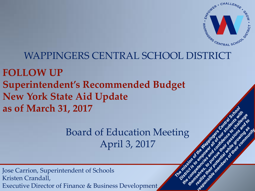

ass<sub>ationnel</sub>

Juliand Ster

nt es

la derivata d'est i ano<sub>sue de</sub> la liga

## WAPPINGERS CENTRAL SCHOOL DISTRICT

**FOLLOW UP Superintendent's Recommended Budget New York State Aid Update as of March 31, 2017**

> Board of Education Meeting April 3, 2017

Jose Carrion, Superintendent of Schools Kristen Crandall, Executive Director of Finance & Business Development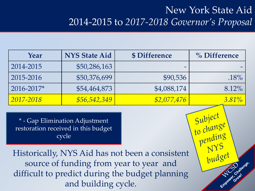# New York State Aid 2014-2015 to *2017-2018 Governor's Proposal*

Subject<br>to change

pending

budget

Challenge.

| Year       | <b>NYS State Aid</b> | \$ Difference | $\%$ Difference |
|------------|----------------------|---------------|-----------------|
| 2014-2015  | \$50,286,163         |               |                 |
| 2015-2016  | \$50,376,699         | \$90,536      | $.18\%$         |
| 2016-2017* | \$54,464,873         | \$4,088,174   | $8.12\%$        |
| 2017-2018  | \$56,542,349         | \$2,077,476   | $3.81\%$        |

\* - Gap Elimination Adjustment restoration received in this budget cycle

Historically, NYS Aid has not been a consistent source of funding from year to year and difficult to predict during the budget planning and building cycle.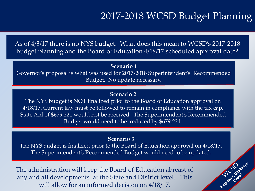# 2017-2018 WCSD Budget Planning

Empourés Croutierges

As of 4/3/17 there is no NYS budget. What does this mean to WCSD's 2017-2018 budget planning and the Board of Education 4/18/17 scheduled approval date?

### **Scenario 1**

Governor's proposal is what was used for 2017-2018 Superintendent's Recommended Budget. No update necessary.

### **Scenario 2**

The NYS budget is NOT finalized prior to the Board of Education approval on 4/18/17. Current law must be followed to remain in compliance with the tax cap. State Aid of \$679,221 would not be received. The Superintendent's Recommended Budget would need to be reduced by \$679,221.

#### **Scenario 3**

The NYS budget is finalized prior to the Board of Education approval on 4/18/17. The Superintendent's Recommended Budget would need to be updated.

The administration will keep the Board of Education abreast of any and all developments at the State and District level. This will allow for an informed decision on 4/18/17.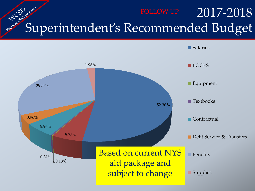# 2017-2018 Superintendent's Recommended Budget

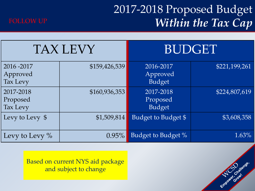# 2017-2018 Proposed Budget *Within the Tax Cap*

Employed Growth Mariense.



|                                     | <b>TAX LEVY</b> | <b>BUDGET</b>                          |               |  |
|-------------------------------------|-----------------|----------------------------------------|---------------|--|
| 2016 - 2017<br>Approved<br>Tax Levy | \$159,426,539   | 2016-2017<br>Approved<br><b>Budget</b> | \$221,199,261 |  |
| 2017-2018<br>Proposed<br>Tax Levy   | \$160,936,353   | 2017-2018<br>Proposed<br><b>Budget</b> | \$224,807,619 |  |
| Levy to Levy \$                     | \$1,509,814     | Budget to Budget \$                    | \$3,608,358   |  |
| Levy to Levy %                      | $0.95\%$        | Budget to Budget %                     | 1.63%         |  |

Based on current NYS aid package and subject to change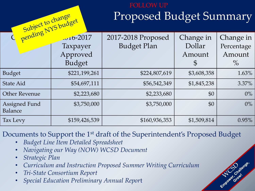## Proposed Budget Summary FOLLOW UP

Emporter Crowlenge.

| Subject to change                      |                                                     | <b>Proposed Budget Summary</b>           |                                                |                                           |  |
|----------------------------------------|-----------------------------------------------------|------------------------------------------|------------------------------------------------|-------------------------------------------|--|
|                                        | $-10-2017$<br>Taxpayer<br>Approved<br><b>Budget</b> | 2017-2018 Proposed<br><b>Budget Plan</b> | Change in<br>Dollar<br>Amount<br>$\mathcal{S}$ | Change in<br>Percentage<br>Amount<br>$\%$ |  |
| <b>Budget</b>                          | \$221,199,261                                       | \$224,807,619                            | \$3,608,358                                    | 1.63%                                     |  |
| <b>State Aid</b>                       | \$54,697,111                                        | \$56,542,349                             | \$1,845,238                                    | $3.37\%$                                  |  |
| <b>Other Revenue</b>                   | \$2,223,680                                         | \$2,233,680                              | \$0                                            | $0\%$                                     |  |
| <b>Assigned Fund</b><br><b>Balance</b> | \$3,750,000                                         | \$3,750,000                              | \$0                                            | $0\%$                                     |  |
| Tax Levy                               | \$159,426,539                                       | \$160,936,353                            | \$1,509,814                                    | 0.95%                                     |  |

Documents to Support the 1<sup>st</sup> draft of the Superintendent's Proposed Budget

- *Budget Line Item Detailed Spreadsheet*
- *Navigating our Way (NOW) WCSD Document*
- *Strategic Plan*
- *Curriculum and Instruction Proposed Summer Writing Curriculum*
- *Tri-State Consortium Report*
- *Special Education Preliminary Annual Repor*t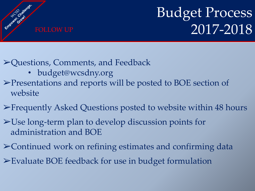

# Budget Process FOLLOW UP  $2017-2018$

➢Questions, Comments, and Feedback

- budget@wcsdny.org
- ➢Presentations and reports will be posted to BOE section of website
- ➢Frequently Asked Questions posted to website within 48 hours
- ➢Use long-term plan to develop discussion points for administration and BOE
- ➢Continued work on refining estimates and confirming data
- ➢Evaluate BOE feedback for use in budget formulation